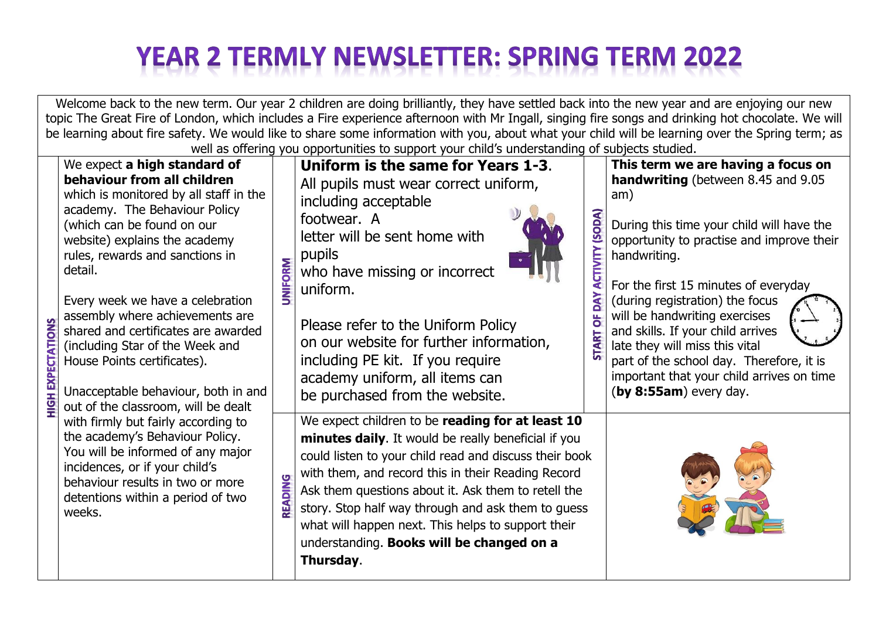## **YEAR 2 TERMLY NEWSLETTER: SPRING TERM 2022**

Welcome back to the new term. Our year 2 children are doing brilliantly, they have settled back into the new year and are enjoying our new topic The Great Fire of London, which includes a Fire experience afternoon with Mr Ingall, singing fire songs and drinking hot chocolate. We will be learning about fire safety. We would like to share some information with you, about what your child will be learning over the Spring term; as well as offering you opportunities to support your child's understanding of subjects studied.

|                          | well as offering you opportunities to support your crilius uniderstanding or subjects studied.                                                                                                                                                                                                                                                                                                                                                                                                                    |                |                                                                                                                                                                                                                                                                                                                                                                                                                                                      |                                            |                                                                                                                                                                                                                                                                                                                                                                                                                                                                                                           |  |
|--------------------------|-------------------------------------------------------------------------------------------------------------------------------------------------------------------------------------------------------------------------------------------------------------------------------------------------------------------------------------------------------------------------------------------------------------------------------------------------------------------------------------------------------------------|----------------|------------------------------------------------------------------------------------------------------------------------------------------------------------------------------------------------------------------------------------------------------------------------------------------------------------------------------------------------------------------------------------------------------------------------------------------------------|--------------------------------------------|-----------------------------------------------------------------------------------------------------------------------------------------------------------------------------------------------------------------------------------------------------------------------------------------------------------------------------------------------------------------------------------------------------------------------------------------------------------------------------------------------------------|--|
| <b>HIGH EXPECTATIONS</b> | We expect a high standard of<br>behaviour from all children<br>which is monitored by all staff in the<br>academy. The Behaviour Policy<br>(which can be found on our<br>website) explains the academy<br>rules, rewards and sanctions in<br>detail.<br>Every week we have a celebration<br>assembly where achievements are<br>shared and certificates are awarded<br>(including Star of the Week and<br>House Points certificates).<br>Unacceptable behaviour, both in and<br>out of the classroom, will be dealt | <b>UNIFORM</b> | Uniform is the same for Years 1-3.<br>All pupils must wear correct uniform,<br>including acceptable<br>footwear. A<br>letter will be sent home with<br>pupils<br>who have missing or incorrect<br>uniform.<br>Please refer to the Uniform Policy<br>on our website for further information,<br>including PE kit. If you require<br>academy uniform, all items can<br>be purchased from the website.                                                  | (SODA)<br><b>CEINILY</b><br><b>NO</b><br>៉ | This term we are having a focus on<br><b>handwriting</b> (between 8.45 and 9.05<br>am)<br>During this time your child will have the<br>opportunity to practise and improve their<br>handwriting.<br>For the first 15 minutes of everyday<br>(during registration) the focus<br>will be handwriting exercises<br>and skills. If your child arrives<br>late they will miss this vital<br>part of the school day. Therefore, it is<br>important that your child arrives on time<br>(by $8:55am$ ) every day. |  |
|                          | with firmly but fairly according to<br>the academy's Behaviour Policy.<br>You will be informed of any major<br>incidences, or if your child's<br>behaviour results in two or more<br>detentions within a period of two<br>weeks.                                                                                                                                                                                                                                                                                  | <b>READING</b> | We expect children to be reading for at least 10<br>minutes daily. It would be really beneficial if you<br>could listen to your child read and discuss their book<br>with them, and record this in their Reading Record<br>Ask them questions about it. Ask them to retell the<br>story. Stop half way through and ask them to guess<br>what will happen next. This helps to support their<br>understanding. Books will be changed on a<br>Thursday. |                                            |                                                                                                                                                                                                                                                                                                                                                                                                                                                                                                           |  |